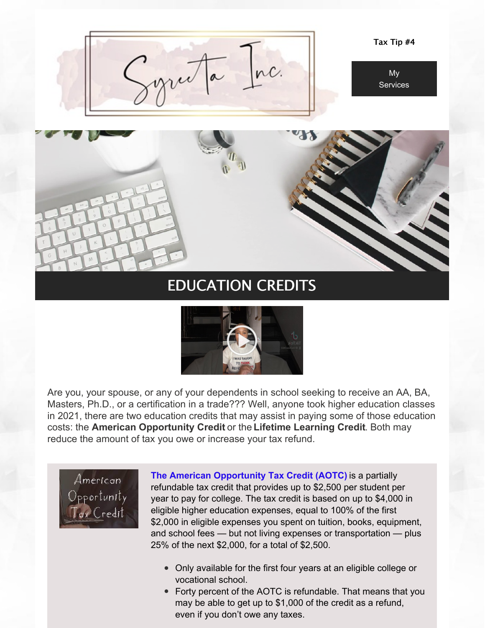

# EDUCATION CREDITS



Are you, your spouse, or any of your dependents in school seeking to receive an AA, BA, Masters, Ph.D., or a certification in a trade??? Well, anyone took higher education classes in 2021, there are two education credits that may assist in paying some of those education costs: the **American Opportunity Credit** or the **Lifetime Learning Credit**. Both may reduce the amount of tax you owe or increase your tax refund.

American ) pportunity ax Credit

**The American Opportunity Tax Credit (AOTC)** is a partially refundable tax credit that provides up to \$2,500 per student per year to pay for college. The tax credit is based on up to \$4,000 in eligible higher education expenses, equal to 100% of the first \$2,000 in eligible expenses you spent on tuition, books, equipment, and school fees — but not living expenses or transportation — plus 25% of the next \$2,000, for a total of \$2,500.

- Only available for the first four years at an eligible college or vocational school.
- Forty percent of the AOTC is refundable. That means that you may be able to get up to \$1,000 of the credit as a refund, even if you don't owe any taxes.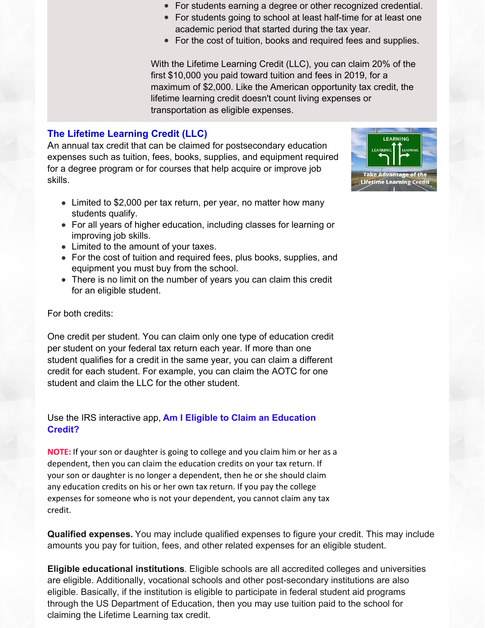- For students earning a degree or other recognized credential.
- For students going to school at least half-time for at least one academic period that started during the tax year.
- For the cost of tuition, books and required fees and supplies.

With the Lifetime Learning Credit (LLC), you can claim 20% of the first \$10,000 you paid toward tuition and fees in 2019, for a maximum of \$2,000. Like the American opportunity tax credit, the lifetime learning credit doesn't count living expenses or transportation as eligible expenses.

# **The Lifetime Learning Credit (LLC)**

An annual tax credit that can be claimed for postsecondary education expenses such as tuition, fees, books, supplies, and equipment required for a degree program or for courses that help acquire or improve job skills.



- Limited to \$2,000 per tax return, per year, no matter how many students qualify.
- For all years of higher education, including classes for learning or improving job skills.
- Limited to the amount of your taxes.
- For the cost of tuition and required fees, plus books, supplies, and equipment you must buy from the school.
- There is no limit on the number of years you can claim this credit for an eligible student.

For both credits:

One credit per student. You can claim only one type of education credit per student on your federal tax return each year. If more than one student qualifies for a credit in the same year, you can claim a different credit for each student. For example, you can claim the AOTC for one student and claim the LLC for the other student.

### Use the IRS interactive app, **Am I Eligible to Claim an [Education](https://www.irs.gov/help/ita/am-i-eligible-to-claim-an-education-credit) Credit?**

**NOTE:** If your son or daughter is going to college and you claim him or her as a dependent, then you can claim the education credits on your tax return. If your son or daughter is no longer a dependent, then he or she should claim any education credits on his or her own tax return. If you pay the college expenses for someone who is not your dependent, you cannot claim any tax credit.

**Qualified expenses.** You may include qualified expenses to figure your credit. This may include amounts you pay for tuition, fees, and other related expenses for an eligible student.

**Eligible educational institutions**. Eligible schools are all accredited colleges and universities are eligible. Additionally, vocational schools and other post-secondary institutions are also eligible. Basically, if the institution is eligible to participate in federal student aid programs through the US Department of Education, then you may use tuition paid to the school for claiming the Lifetime Learning tax credit.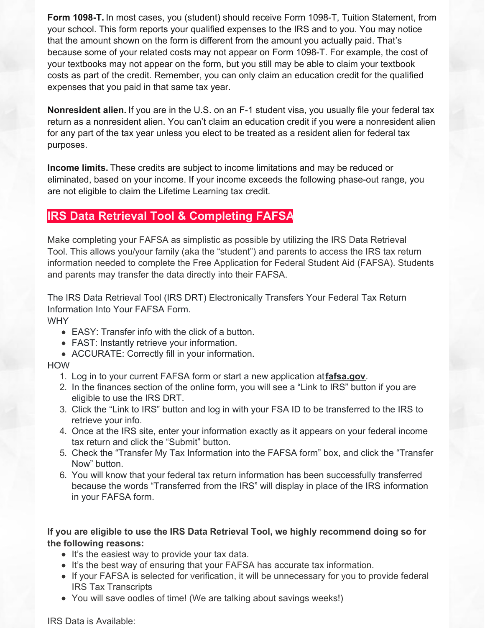**Form 1098-T.** In most cases, you (student) should receive Form 1098-T, Tuition Statement, from your school. This form reports your qualified expenses to the IRS and to you. You may notice that the amount shown on the form is different from the amount you actually paid. That's because some of your related costs may not appear on Form 1098-T. For example, the cost of your textbooks may not appear on the form, but you still may be able to claim your textbook costs as part of the credit. Remember, you can only claim an education credit for the qualified expenses that you paid in that same tax year.

**Nonresident alien.** If you are in the U.S. on an F-1 student visa, you usually file your federal tax return as a nonresident alien. You can't claim an education credit if you were a nonresident alien for any part of the tax year unless you elect to be treated as a resident alien for federal tax purposes.

**Income limits.** These credits are subject to income limitations and may be reduced or eliminated, based on your income. If your income exceeds the following phase-out range, you are not eligible to claim the Lifetime Learning tax credit.

# **IRS Data Retrieval Tool & Completing FAFSA**

Make completing your FAFSA as simplistic as possible by utilizing the IRS Data Retrieval Tool. This allows you/your family (aka the "student") and parents to access the IRS tax return information needed to complete the Free Application for Federal Student Aid (FAFSA). Students and parents may transfer the data directly into their FAFSA.

The IRS Data Retrieval Tool (IRS DRT) Electronically Transfers Your Federal Tax Return Information Into Your FAFSA Form.

#### **WHY**

- EASY: Transfer info with the click of a button.
- FAST: Instantly retrieve your information.
- ACCURATE: Correctly fill in your information.

#### HOW

- 1. Log in to your current FAFSA form or start a new application at**[fafsa.gov](https://studentaid.gov/h/apply-for-aid/fafsa)**.
- 2. In the finances section of the online form, you will see a "Link to IRS" button if you are eligible to use the IRS DRT.
- 3. Click the "Link to IRS" button and log in with your FSA ID to be transferred to the IRS to retrieve your info.
- 4. Once at the IRS site, enter your information exactly as it appears on your federal income tax return and click the "Submit" button.
- 5. Check the "Transfer My Tax Information into the FAFSA form" box, and click the "Transfer Now" button.
- 6. You will know that your federal tax return information has been successfully transferred because the words "Transferred from the IRS" will display in place of the IRS information in your FAFSA form.

**If you are eligible to use the IRS Data Retrieval Tool, we highly recommend doing so for the following reasons:**

- It's the easiest way to provide your tax data.
- It's the best way of ensuring that your FAFSA has accurate tax information.
- If your FAFSA is selected for verification, it will be unnecessary for you to provide federal IRS Tax Transcripts
- You will save oodles of time! (We are talking about savings weeks!)

IRS Data is Available: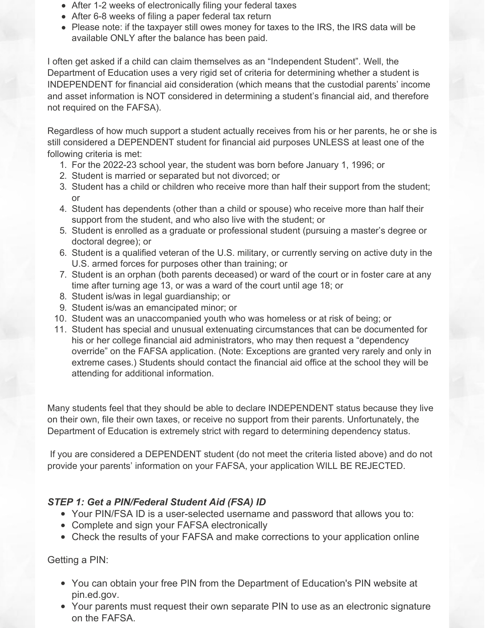- After 1-2 weeks of electronically filing your federal taxes
- After 6-8 weeks of filing a paper federal tax return
- Please note: if the taxpayer still owes money for taxes to the IRS, the IRS data will be available ONLY after the balance has been paid.

I often get asked if a child can claim themselves as an "Independent Student". Well, the Department of Education uses a very rigid set of criteria for determining whether a student is INDEPENDENT for financial aid consideration (which means that the custodial parents' income and asset information is NOT considered in determining a student's financial aid, and therefore not required on the FAFSA).

Regardless of how much support a student actually receives from his or her parents, he or she is still considered a DEPENDENT student for financial aid purposes UNLESS at least one of the following criteria is met:

- 1. For the 2022-23 school year, the student was born before January 1, 1996; or
- 2. Student is married or separated but not divorced; or
- 3. Student has a child or children who receive more than half their support from the student; or
- 4. Student has dependents (other than a child or spouse) who receive more than half their support from the student, and who also live with the student; or
- 5. Student is enrolled as a graduate or professional student (pursuing a master's degree or doctoral degree); or
- 6. Student is a qualified veteran of the U.S. military, or currently serving on active duty in the U.S. armed forces for purposes other than training; or
- 7. Student is an orphan (both parents deceased) or ward of the court or in foster care at any time after turning age 13, or was a ward of the court until age 18; or
- 8. Student is/was in legal guardianship; or
- 9. Student is/was an emancipated minor; or
- 10. Student was an unaccompanied youth who was homeless or at risk of being; or
- 11. Student has special and unusual extenuating circumstances that can be documented for his or her college financial aid administrators, who may then request a "dependency override" on the FAFSA application. (Note: Exceptions are granted very rarely and only in extreme cases.) Students should contact the financial aid office at the school they will be attending for additional information.

Many students feel that they should be able to declare INDEPENDENT status because they live on their own, file their own taxes, or receive no support from their parents. Unfortunately, the Department of Education is extremely strict with regard to determining dependency status.

If you are considered a DEPENDENT student (do not meet the criteria listed above) and do not provide your parents' information on your FAFSA, your application WILL BE REJECTED.

# *STEP 1: Get a PIN/Federal Student Aid (FSA) ID*

- Your PIN/FSA ID is a user-selected username and password that allows you to:
- Complete and sign your FAFSA electronically
- Check the results of your FAFSA and make corrections to your application online

# Getting a PIN:

- You can obtain your free PIN from the Department of Education's PIN website at pin.ed.gov.
- Your parents must request their own separate PIN to use as an electronic signature on the FAFSA.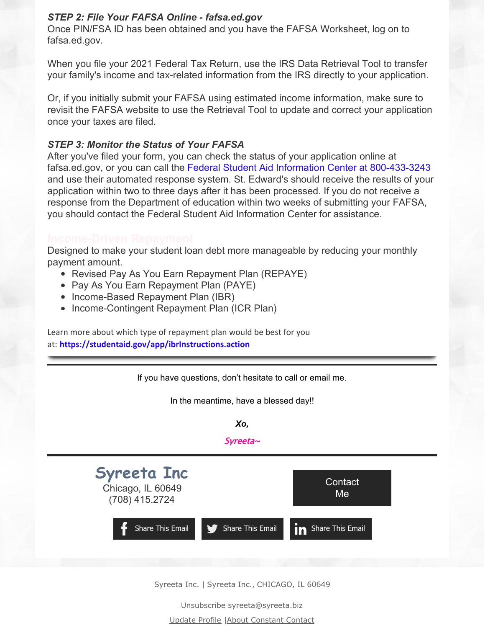## *STEP 2: File Your FAFSA Online - fafsa.ed.gov*

Once PIN/FSA ID has been obtained and you have the FAFSA Worksheet, log on to fafsa.ed.gov.

When you file your 2021 Federal Tax Return, use the IRS Data Retrieval Tool to transfer your family's income and tax-related information from the IRS directly to your application.

Or, if you initially submit your FAFSA using estimated income information, make sure to revisit the FAFSA website to use the Retrieval Tool to update and correct your application once your taxes are filed.

### *STEP 3: Monitor the Status of Your FAFSA*

After you've filed your form, you can check the status of your application online at fafsa.ed.gov, or you can call the Federal Student Aid Information Center at 800-433-3243 and use their automated response system. St. Edward's should receive the results of your application within two to three days after it has been processed. If you do not receive a response from the Department of education within two weeks of submitting your FAFSA, you should contact the Federal Student Aid Information Center for assistance.

Designed to make your student loan debt more manageable by reducing your monthly payment amount.

- Revised Pay As You Earn Repayment Plan (REPAYE)
- Pay As You Earn Repayment Plan (PAYE)
- Income-Based Repayment Plan (IBR)
- Income-Contingent Repayment Plan (ICR Plan)

Learn more about which type of repayment plan would be best for you at: **<https://studentaid.gov/app/ibrInstructions.action>**



Syreeta Inc. | Syreeta Inc., CHICAGO, IL 60649

Unsubscribe syreeta@syreeta.biz

Update Profile |About [Constant](http://www.constantcontact.com/legal/about-constant-contact) Contact